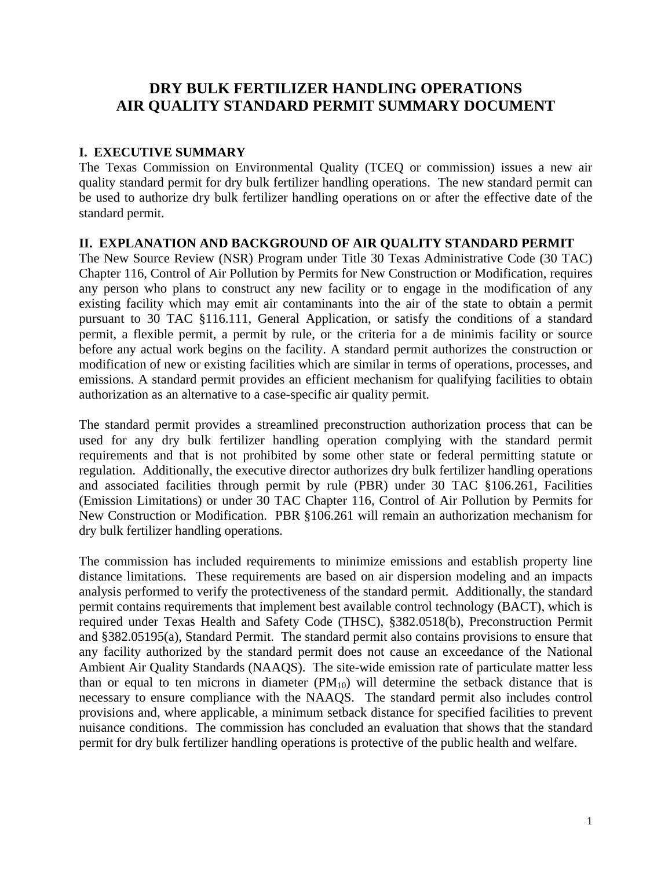# **DRY BULK FERTILIZER HANDLING OPERATIONS AIR QUALITY STANDARD PERMIT SUMMARY DOCUMENT**

### **I. EXECUTIVE SUMMARY**

The Texas Commission on Environmental Quality (TCEQ or commission) issues a new air quality standard permit for dry bulk fertilizer handling operations. The new standard permit can be used to authorize dry bulk fertilizer handling operations on or after the effective date of the standard permit.

#### **II. EXPLANATION AND BACKGROUND OF AIR QUALITY STANDARD PERMIT**

The New Source Review (NSR) Program under Title 30 Texas Administrative Code (30 TAC) Chapter 116, Control of Air Pollution by Permits for New Construction or Modification, requires any person who plans to construct any new facility or to engage in the modification of any existing facility which may emit air contaminants into the air of the state to obtain a permit pursuant to 30 TAC §116.111, General Application, or satisfy the conditions of a standard permit, a flexible permit, a permit by rule, or the criteria for a de minimis facility or source before any actual work begins on the facility. A standard permit authorizes the construction or modification of new or existing facilities which are similar in terms of operations, processes, and emissions. A standard permit provides an efficient mechanism for qualifying facilities to obtain authorization as an alternative to a case-specific air quality permit.

The standard permit provides a streamlined preconstruction authorization process that can be used for any dry bulk fertilizer handling operation complying with the standard permit requirements and that is not prohibited by some other state or federal permitting statute or regulation. Additionally, the executive director authorizes dry bulk fertilizer handling operations and associated facilities through permit by rule (PBR) under 30 TAC §106.261, Facilities (Emission Limitations) or under 30 TAC Chapter 116, Control of Air Pollution by Permits for New Construction or Modification. PBR §106.261 will remain an authorization mechanism for dry bulk fertilizer handling operations.

The commission has included requirements to minimize emissions and establish property line distance limitations. These requirements are based on air dispersion modeling and an impacts analysis performed to verify the protectiveness of the standard permit. Additionally, the standard permit contains requirements that implement best available control technology (BACT), which is required under Texas Health and Safety Code (THSC), §382.0518(b), Preconstruction Permit and §382.05195(a), Standard Permit. The standard permit also contains provisions to ensure that any facility authorized by the standard permit does not cause an exceedance of the National Ambient Air Quality Standards (NAAQS). The site-wide emission rate of particulate matter less than or equal to ten microns in diameter  $(PM_{10})$  will determine the setback distance that is necessary to ensure compliance with the NAAQS. The standard permit also includes control provisions and, where applicable, a minimum setback distance for specified facilities to prevent nuisance conditions. The commission has concluded an evaluation that shows that the standard permit for dry bulk fertilizer handling operations is protective of the public health and welfare.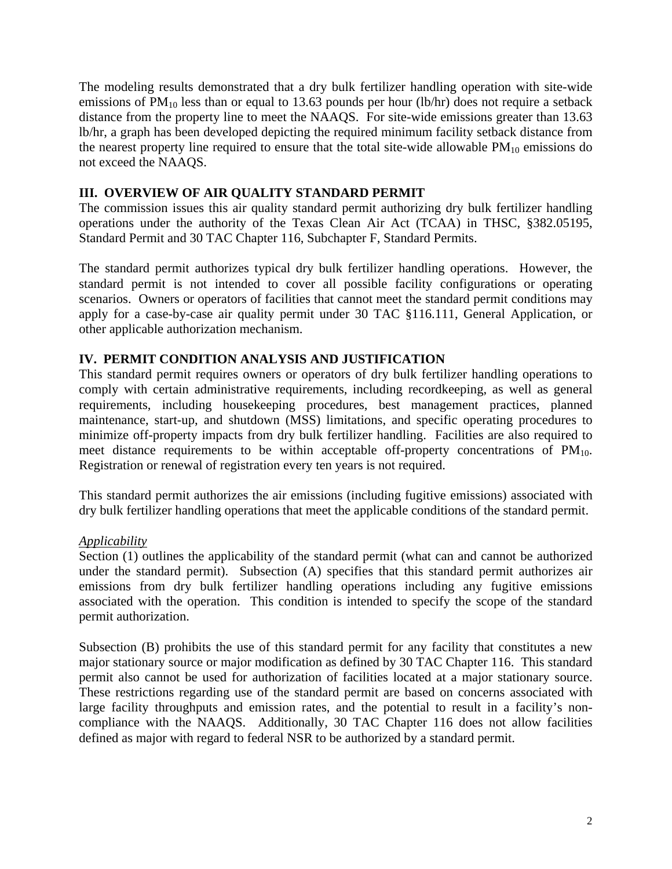The modeling results demonstrated that a dry bulk fertilizer handling operation with site-wide emissions of  $PM_{10}$  less than or equal to 13.63 pounds per hour (lb/hr) does not require a setback distance from the property line to meet the NAAQS. For site-wide emissions greater than 13.63 lb/hr, a graph has been developed depicting the required minimum facility setback distance from the nearest property line required to ensure that the total site-wide allowable  $PM_{10}$  emissions do not exceed the NAAQS.

### **III. OVERVIEW OF AIR QUALITY STANDARD PERMIT**

The commission issues this air quality standard permit authorizing dry bulk fertilizer handling operations under the authority of the Texas Clean Air Act (TCAA) in THSC, §382.05195, Standard Permit and 30 TAC Chapter 116, Subchapter F, Standard Permits.

The standard permit authorizes typical dry bulk fertilizer handling operations. However, the standard permit is not intended to cover all possible facility configurations or operating scenarios. Owners or operators of facilities that cannot meet the standard permit conditions may apply for a case-by-case air quality permit under 30 TAC §116.111, General Application, or other applicable authorization mechanism.

### **IV. PERMIT CONDITION ANALYSIS AND JUSTIFICATION**

This standard permit requires owners or operators of dry bulk fertilizer handling operations to comply with certain administrative requirements, including recordkeeping, as well as general requirements, including housekeeping procedures, best management practices, planned maintenance, start-up, and shutdown (MSS) limitations, and specific operating procedures to minimize off-property impacts from dry bulk fertilizer handling. Facilities are also required to meet distance requirements to be within acceptable off-property concentrations of  $PM_{10}$ . Registration or renewal of registration every ten years is not required.

This standard permit authorizes the air emissions (including fugitive emissions) associated with dry bulk fertilizer handling operations that meet the applicable conditions of the standard permit.

#### *Applicability*

Section (1) outlines the applicability of the standard permit (what can and cannot be authorized under the standard permit). Subsection (A) specifies that this standard permit authorizes air emissions from dry bulk fertilizer handling operations including any fugitive emissions associated with the operation. This condition is intended to specify the scope of the standard permit authorization.

Subsection (B) prohibits the use of this standard permit for any facility that constitutes a new major stationary source or major modification as defined by 30 TAC Chapter 116. This standard permit also cannot be used for authorization of facilities located at a major stationary source. These restrictions regarding use of the standard permit are based on concerns associated with large facility throughputs and emission rates, and the potential to result in a facility's noncompliance with the NAAQS. Additionally, 30 TAC Chapter 116 does not allow facilities defined as major with regard to federal NSR to be authorized by a standard permit.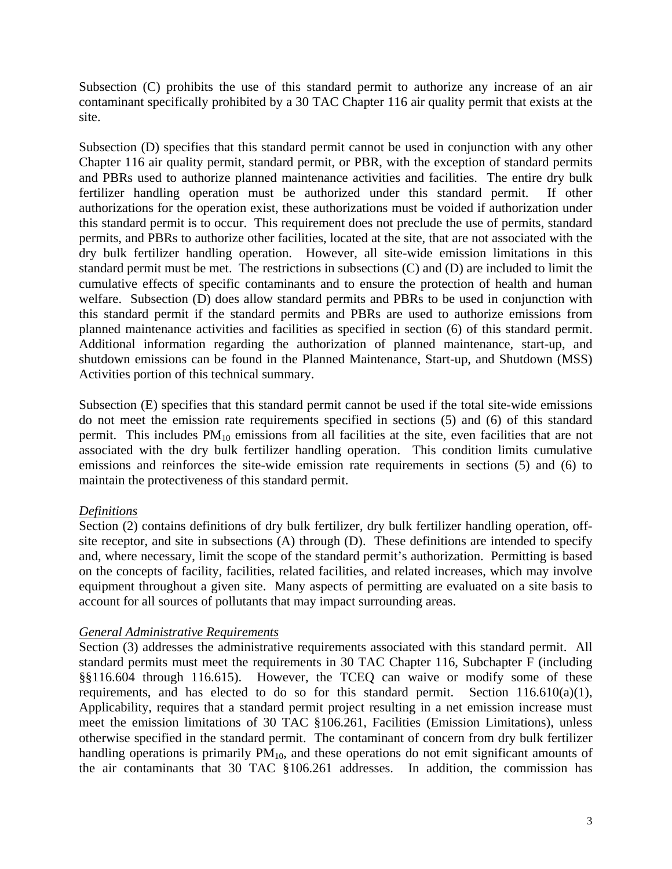Subsection (C) prohibits the use of this standard permit to authorize any increase of an air contaminant specifically prohibited by a 30 TAC Chapter 116 air quality permit that exists at the site.

planned maintenance activities and facilities as specified in section (6) of this standard permit. Subsection (D) specifies that this standard permit cannot be used in conjunction with any other Chapter 116 air quality permit, standard permit, or PBR, with the exception of standard permits and PBRs used to authorize planned maintenance activities and facilities. The entire dry bulk fertilizer handling operation must be authorized under this standard permit. If other authorizations for the operation exist, these authorizations must be voided if authorization under this standard permit is to occur. This requirement does not preclude the use of permits, standard permits, and PBRs to authorize other facilities, located at the site, that are not associated with the dry bulk fertilizer handling operation. However, all site-wide emission limitations in this standard permit must be met. The restrictions in subsections (C) and (D) are included to limit the cumulative effects of specific contaminants and to ensure the protection of health and human welfare. Subsection (D) does allow standard permits and PBRs to be used in conjunction with this standard permit if the standard permits and PBRs are used to authorize emissions from Additional information regarding the authorization of planned maintenance, start-up, and shutdown emissions can be found in the Planned Maintenance, Start-up, and Shutdown (MSS) Activities portion of this technical summary.

Subsection (E) specifies that this standard permit cannot be used if the total site-wide emissions do not meet the emission rate requirements specified in sections (5) and (6) of this standard permit. This includes  $PM_{10}$  emissions from all facilities at the site, even facilities that are not associated with the dry bulk fertilizer handling operation. This condition limits cumulative emissions and reinforces the site-wide emission rate requirements in sections (5) and (6) to maintain the protectiveness of this standard permit.

# *Definitions*

Section (2) contains definitions of dry bulk fertilizer, dry bulk fertilizer handling operation, offsite receptor, and site in subsections (A) through (D). These definitions are intended to specify and, where necessary, limit the scope of the standard permit's authorization. Permitting is based on the concepts of facility, facilities, related facilities, and related increases, which may involve equipment throughout a given site. Many aspects of permitting are evaluated on a site basis to account for all sources of pollutants that may impact surrounding areas.

# *General Administrative Requirements*

 the air contaminants that 30 TAC §106.261 addresses. In addition, the commission has Section (3) addresses the administrative requirements associated with this standard permit. All standard permits must meet the requirements in 30 TAC Chapter 116, Subchapter F (including §§116.604 through 116.615). However, the TCEQ can waive or modify some of these requirements, and has elected to do so for this standard permit. Section  $116.610(a)(1)$ , Applicability, requires that a standard permit project resulting in a net emission increase must meet the emission limitations of 30 TAC §106.261, Facilities (Emission Limitations), unless otherwise specified in the standard permit. The contaminant of concern from dry bulk fertilizer handling operations is primarily  $PM_{10}$ , and these operations do not emit significant amounts of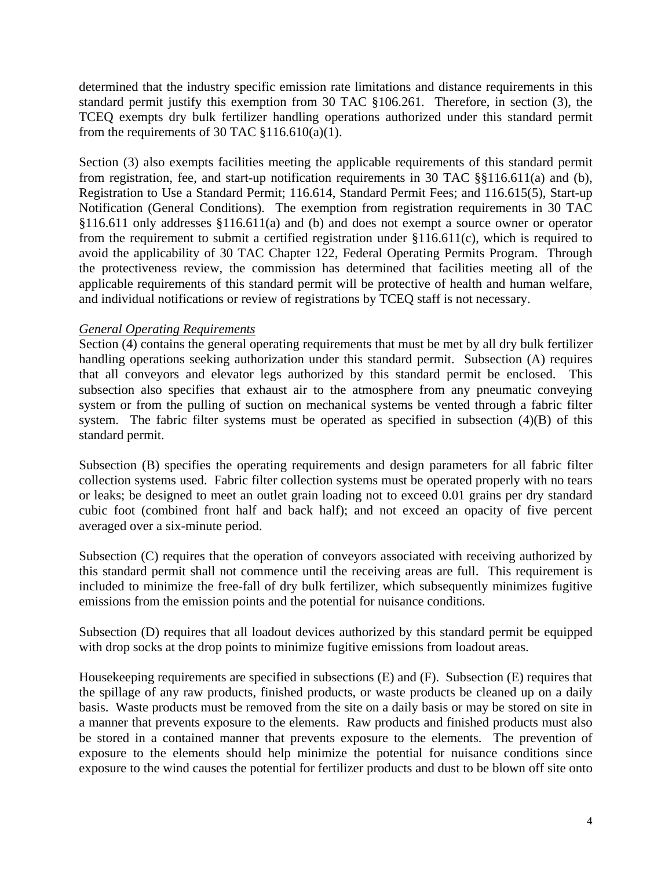determined that the industry specific emission rate limitations and distance requirements in this standard permit justify this exemption from 30 TAC §106.261. Therefore, in section (3), the TCEQ exempts dry bulk fertilizer handling operations authorized under this standard permit from the requirements of 30 TAC  $$116.610(a)(1)$ .

 avoid the applicability of 30 TAC Chapter 122, Federal Operating Permits Program. Through Section (3) also exempts facilities meeting the applicable requirements of this standard permit from registration, fee, and start-up notification requirements in 30 TAC §§116.611(a) and (b), Registration to Use a Standard Permit; 116.614, Standard Permit Fees; and 116.615(5), Start-up Notification (General Conditions). The exemption from registration requirements in 30 TAC §116.611 only addresses §116.611(a) and (b) and does not exempt a source owner or operator from the requirement to submit a certified registration under §116.611(c), which is required to the protectiveness review, the commission has determined that facilities meeting all of the applicable requirements of this standard permit will be protective of health and human welfare, and individual notifications or review of registrations by TCEQ staff is not necessary.

### *General Operating Requirements*

Section (4) contains the general operating requirements that must be met by all dry bulk fertilizer handling operations seeking authorization under this standard permit. Subsection (A) requires that all conveyors and elevator legs authorized by this standard permit be enclosed. This subsection also specifies that exhaust air to the atmosphere from any pneumatic conveying system or from the pulling of suction on mechanical systems be vented through a fabric filter system. The fabric filter systems must be operated as specified in subsection (4)(B) of this standard permit.

Subsection (B) specifies the operating requirements and design parameters for all fabric filter collection systems used. Fabric filter collection systems must be operated properly with no tears or leaks; be designed to meet an outlet grain loading not to exceed 0.01 grains per dry standard cubic foot (combined front half and back half); and not exceed an opacity of five percent averaged over a six-minute period.

Subsection (C) requires that the operation of conveyors associated with receiving authorized by this standard permit shall not commence until the receiving areas are full. This requirement is included to minimize the free-fall of dry bulk fertilizer, which subsequently minimizes fugitive emissions from the emission points and the potential for nuisance conditions.

Subsection (D) requires that all loadout devices authorized by this standard permit be equipped with drop socks at the drop points to minimize fugitive emissions from loadout areas.

Housekeeping requirements are specified in subsections (E) and (F). Subsection (E) requires that the spillage of any raw products, finished products, or waste products be cleaned up on a daily basis. Waste products must be removed from the site on a daily basis or may be stored on site in a manner that prevents exposure to the elements. Raw products and finished products must also be stored in a contained manner that prevents exposure to the elements. The prevention of exposure to the elements should help minimize the potential for nuisance conditions since exposure to the wind causes the potential for fertilizer products and dust to be blown off site onto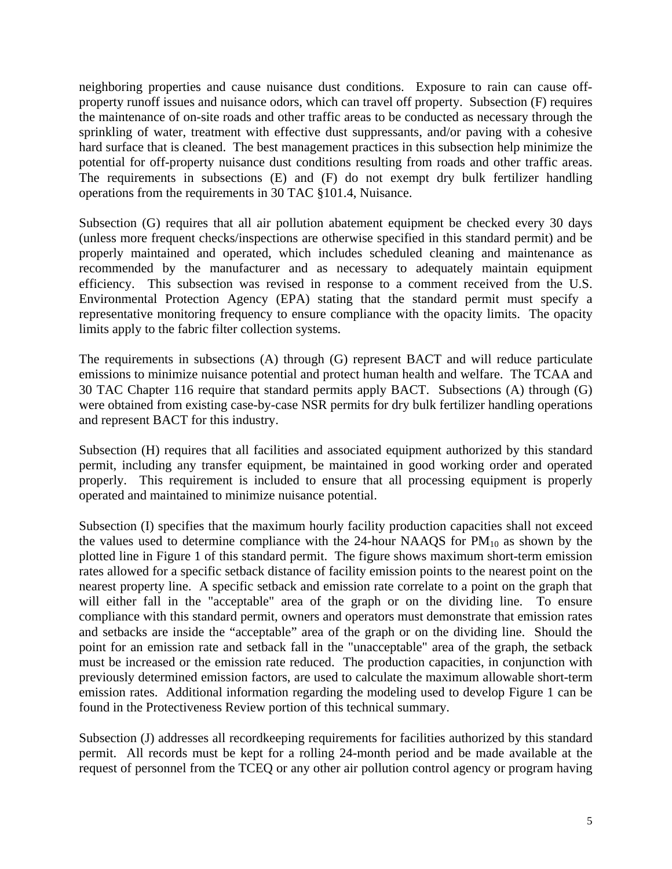neighboring properties and cause nuisance dust conditions. Exposure to rain can cause offproperty runoff issues and nuisance odors, which can travel off property. Subsection (F) requires the maintenance of on-site roads and other traffic areas to be conducted as necessary through the sprinkling of water, treatment with effective dust suppressants, and/or paving with a cohesive hard surface that is cleaned. The best management practices in this subsection help minimize the potential for off-property nuisance dust conditions resulting from roads and other traffic areas. The requirements in subsections (E) and (F) do not exempt dry bulk fertilizer handling operations from the requirements in 30 TAC §101.4, Nuisance.

Subsection (G) requires that all air pollution abatement equipment be checked every 30 days (unless more frequent checks/inspections are otherwise specified in this standard permit) and be properly maintained and operated, which includes scheduled cleaning and maintenance as recommended by the manufacturer and as necessary to adequately maintain equipment efficiency. This subsection was revised in response to a comment received from the U.S. Environmental Protection Agency (EPA) stating that the standard permit must specify a representative monitoring frequency to ensure compliance with the opacity limits. The opacity limits apply to the fabric filter collection systems.

The requirements in subsections (A) through (G) represent BACT and will reduce particulate emissions to minimize nuisance potential and protect human health and welfare. The TCAA and 30 TAC Chapter 116 require that standard permits apply BACT. Subsections (A) through (G) were obtained from existing case-by-case NSR permits for dry bulk fertilizer handling operations and represent BACT for this industry.

Subsection (H) requires that all facilities and associated equipment authorized by this standard permit, including any transfer equipment, be maintained in good working order and operated properly. This requirement is included to ensure that all processing equipment is properly operated and maintained to minimize nuisance potential.

Subsection (I) specifies that the maximum hourly facility production capacities shall not exceed the values used to determine compliance with the 24-hour NAAQS for  $PM_{10}$  as shown by the plotted line in Figure 1 of this standard permit. The figure shows maximum short-term emission rates allowed for a specific setback distance of facility emission points to the nearest point on the nearest property line. A specific setback and emission rate correlate to a point on the graph that will either fall in the "acceptable" area of the graph or on the dividing line. To ensure compliance with this standard permit, owners and operators must demonstrate that emission rates and setbacks are inside the "acceptable" area of the graph or on the dividing line. Should the point for an emission rate and setback fall in the "unacceptable" area of the graph, the setback must be increased or the emission rate reduced. The production capacities, in conjunction with previously determined emission factors, are used to calculate the maximum allowable short-term emission rates. Additional information regarding the modeling used to develop Figure 1 can be found in the Protectiveness Review portion of this technical summary.

Subsection (J) addresses all recordkeeping requirements for facilities authorized by this standard permit. All records must be kept for a rolling 24-month period and be made available at the request of personnel from the TCEQ or any other air pollution control agency or program having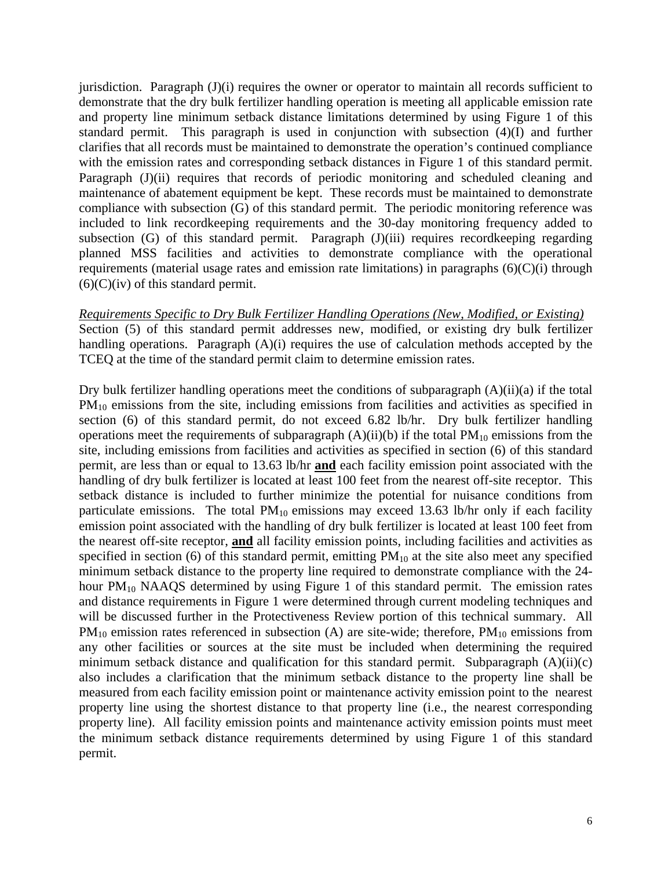jurisdiction. Paragraph (J)(i) requires the owner or operator to maintain all records sufficient to demonstrate that the dry bulk fertilizer handling operation is meeting all applicable emission rate and property line minimum setback distance limitations determined by using Figure 1 of this standard permit. This paragraph is used in conjunction with subsection (4)(I) and further clarifies that all records must be maintained to demonstrate the operation's continued compliance with the emission rates and corresponding setback distances in Figure 1 of this standard permit. Paragraph (J)(ii) requires that records of periodic monitoring and scheduled cleaning and maintenance of abatement equipment be kept. These records must be maintained to demonstrate compliance with subsection (G) of this standard permit. The periodic monitoring reference was included to link recordkeeping requirements and the 30-day monitoring frequency added to subsection (G) of this standard permit. Paragraph (J)(iii) requires recordkeeping regarding planned MSS facilities and activities to demonstrate compliance with the operational requirements (material usage rates and emission rate limitations) in paragraphs  $(6)(C)(i)$  through  $(6)(C)(iv)$  of this standard permit.

*Requirements Specific to Dry Bulk Fertilizer Handling Operations (New, Modified, or Existing)*  Section (5) of this standard permit addresses new, modified, or existing dry bulk fertilizer handling operations. Paragraph (A)(i) requires the use of calculation methods accepted by the TCEQ at the time of the standard permit claim to determine emission rates.

Dry bulk fertilizer handling operations meet the conditions of subparagraph  $(A)(ii)(a)$  if the total  $PM_{10}$  emissions from the site, including emissions from facilities and activities as specified in section (6) of this standard permit, do not exceed 6.82 lb/hr. Dry bulk fertilizer handling operations meet the requirements of subparagraph  $(A)(ii)(b)$  if the total  $PM_{10}$  emissions from the site, including emissions from facilities and activities as specified in section (6) of this standard permit, are less than or equal to 13.63 lb/hr **and** each facility emission point associated with the handling of dry bulk fertilizer is located at least 100 feet from the nearest off-site receptor. This setback distance is included to further minimize the potential for nuisance conditions from particulate emissions. The total  $PM_{10}$  emissions may exceed 13.63 lb/hr only if each facility emission point associated with the handling of dry bulk fertilizer is located at least 100 feet from the nearest off-site receptor, **and** all facility emission points, including facilities and activities as specified in section (6) of this standard permit, emitting  $PM_{10}$  at the site also meet any specified minimum setback distance to the property line required to demonstrate compliance with the 24 hour  $PM_{10}$  NAAQS determined by using Figure 1 of this standard permit. The emission rates and distance requirements in Figure 1 were determined through current modeling techniques and will be discussed further in the Protectiveness Review portion of this technical summary. All  $PM_{10}$  emission rates referenced in subsection (A) are site-wide; therefore,  $PM_{10}$  emissions from any other facilities or sources at the site must be included when determining the required minimum setback distance and qualification for this standard permit. Subparagraph  $(A)(ii)(c)$ also includes a clarification that the minimum setback distance to the property line shall be measured from each facility emission point or maintenance activity emission point to the nearest property line using the shortest distance to that property line (i.e., the nearest corresponding property line). All facility emission points and maintenance activity emission points must meet the minimum setback distance requirements determined by using Figure 1 of this standard permit.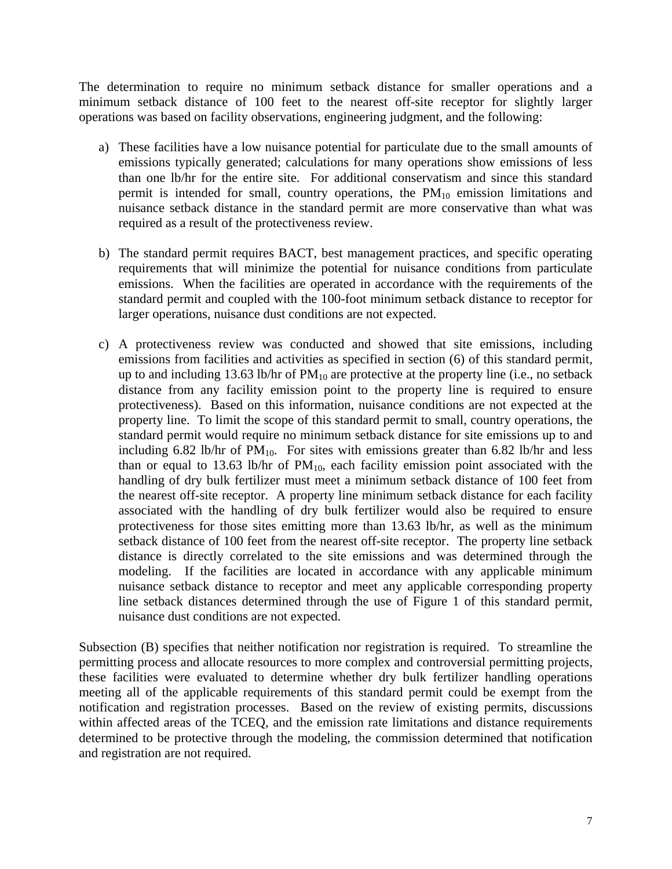The determination to require no minimum setback distance for smaller operations and a minimum setback distance of 100 feet to the nearest off-site receptor for slightly larger operations was based on facility observations, engineering judgment, and the following:

- a) These facilities have a low nuisance potential for particulate due to the small amounts of emissions typically generated; calculations for many operations show emissions of less than one lb/hr for the entire site. For additional conservatism and since this standard permit is intended for small, country operations, the  $PM_{10}$  emission limitations and nuisance setback distance in the standard permit are more conservative than what was required as a result of the protectiveness review.
- b) The standard permit requires BACT, best management practices, and specific operating requirements that will minimize the potential for nuisance conditions from particulate emissions. When the facilities are operated in accordance with the requirements of the standard permit and coupled with the 100-foot minimum setback distance to receptor for larger operations, nuisance dust conditions are not expected.
- c) A protectiveness review was conducted and showed that site emissions, including emissions from facilities and activities as specified in section (6) of this standard permit, up to and including 13.63 lb/hr of  $PM_{10}$  are protective at the property line (i.e., no setback distance from any facility emission point to the property line is required to ensure protectiveness). Based on this information, nuisance conditions are not expected at the property line. To limit the scope of this standard permit to small, country operations, the standard permit would require no minimum setback distance for site emissions up to and including 6.82 lb/hr of  $PM_{10}$ . For sites with emissions greater than 6.82 lb/hr and less than or equal to 13.63 lb/hr of  $PM_{10}$ , each facility emission point associated with the handling of dry bulk fertilizer must meet a minimum setback distance of 100 feet from the nearest off-site receptor. A property line minimum setback distance for each facility associated with the handling of dry bulk fertilizer would also be required to ensure protectiveness for those sites emitting more than 13.63 lb/hr, as well as the minimum setback distance of 100 feet from the nearest off-site receptor. The property line setback distance is directly correlated to the site emissions and was determined through the modeling. If the facilities are located in accordance with any applicable minimum nuisance setback distance to receptor and meet any applicable corresponding property line setback distances determined through the use of Figure 1 of this standard permit, nuisance dust conditions are not expected.

Subsection (B) specifies that neither notification nor registration is required. To streamline the permitting process and allocate resources to more complex and controversial permitting projects, these facilities were evaluated to determine whether dry bulk fertilizer handling operations meeting all of the applicable requirements of this standard permit could be exempt from the notification and registration processes. Based on the review of existing permits, discussions within affected areas of the TCEQ, and the emission rate limitations and distance requirements determined to be protective through the modeling, the commission determined that notification and registration are not required.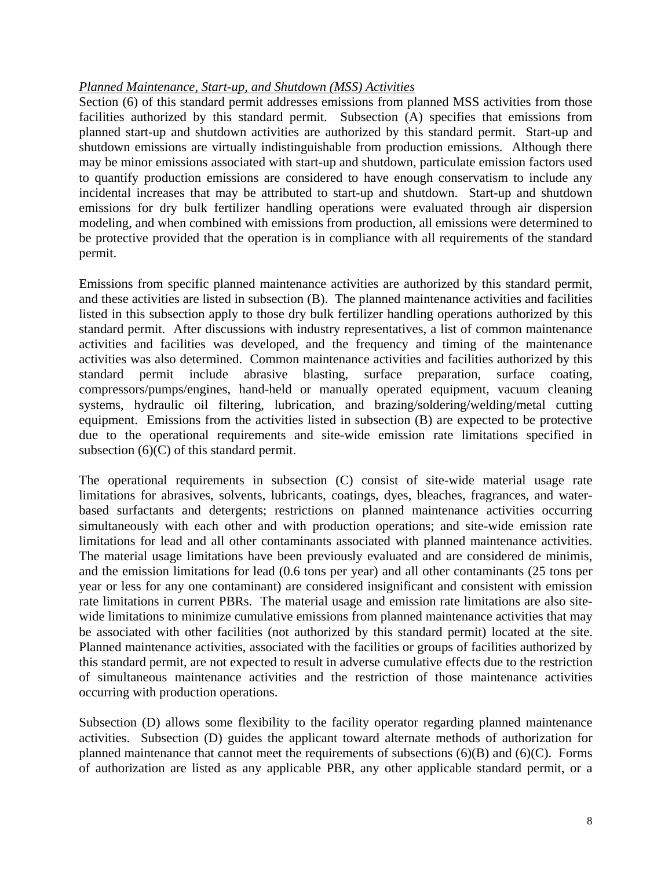#### *Planned Maintenance, Start-up, and Shutdown (MSS) Activities*

Section (6) of this standard permit addresses emissions from planned MSS activities from those facilities authorized by this standard permit. Subsection (A) specifies that emissions from planned start-up and shutdown activities are authorized by this standard permit. Start-up and shutdown emissions are virtually indistinguishable from production emissions. Although there may be minor emissions associated with start-up and shutdown, particulate emission factors used to quantify production emissions are considered to have enough conservatism to include any incidental increases that may be attributed to start-up and shutdown. Start-up and shutdown emissions for dry bulk fertilizer handling operations were evaluated through air dispersion modeling, and when combined with emissions from production, all emissions were determined to be protective provided that the operation is in compliance with all requirements of the standard permit.

Emissions from specific planned maintenance activities are authorized by this standard permit, and these activities are listed in subsection (B). The planned maintenance activities and facilities listed in this subsection apply to those dry bulk fertilizer handling operations authorized by this standard permit. After discussions with industry representatives, a list of common maintenance activities and facilities was developed, and the frequency and timing of the maintenance activities was also determined. Common maintenance activities and facilities authorized by this standard permit include abrasive blasting, surface preparation, surface coating, compressors/pumps/engines, hand-held or manually operated equipment, vacuum cleaning systems, hydraulic oil filtering, lubrication, and brazing/soldering/welding/metal cutting equipment. Emissions from the activities listed in subsection (B) are expected to be protective due to the operational requirements and site-wide emission rate limitations specified in subsection (6)(C) of this standard permit.

limitations for lead and all other contaminants associated with planned maintenance activities. be associated with other facilities (not authorized by this standard permit) located at the site. The operational requirements in subsection (C) consist of site-wide material usage rate limitations for abrasives, solvents, lubricants, coatings, dyes, bleaches, fragrances, and waterbased surfactants and detergents; restrictions on planned maintenance activities occurring simultaneously with each other and with production operations; and site-wide emission rate The material usage limitations have been previously evaluated and are considered de minimis, and the emission limitations for lead (0.6 tons per year) and all other contaminants (25 tons per year or less for any one contaminant) are considered insignificant and consistent with emission rate limitations in current PBRs. The material usage and emission rate limitations are also sitewide limitations to minimize cumulative emissions from planned maintenance activities that may Planned maintenance activities, associated with the facilities or groups of facilities authorized by this standard permit, are not expected to result in adverse cumulative effects due to the restriction of simultaneous maintenance activities and the restriction of those maintenance activities occurring with production operations.

 planned maintenance that cannot meet the requirements of subsections (6)(B) and (6)(C). Forms Subsection (D) allows some flexibility to the facility operator regarding planned maintenance activities. Subsection (D) guides the applicant toward alternate methods of authorization for of authorization are listed as any applicable PBR, any other applicable standard permit, or a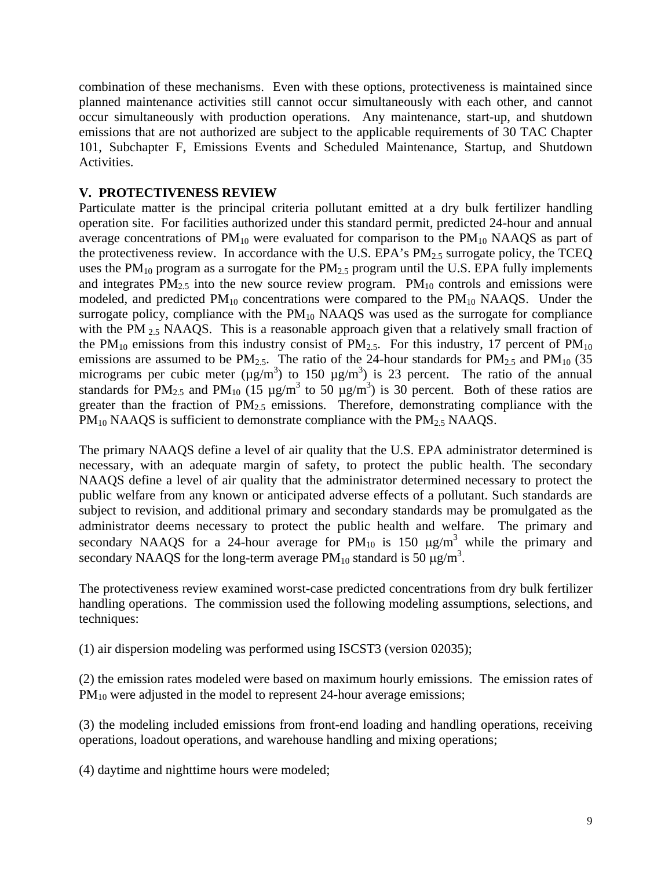combination of these mechanisms. Even with these options, protectiveness is maintained since planned maintenance activities still cannot occur simultaneously with each other, and cannot occur simultaneously with production operations. Any maintenance, start-up, and shutdown emissions that are not authorized are subject to the applicable requirements of 30 TAC Chapter 101, Subchapter F, Emissions Events and Scheduled Maintenance, Startup, and Shutdown Activities.

#### **V. PROTECTIVENESS REVIEW**

Particulate matter is the principal criteria pollutant emitted at a dry bulk fertilizer handling operation site. For facilities authorized under this standard permit, predicted 24-hour and annual average concentrations of  $PM_{10}$  were evaluated for comparison to the  $PM_{10}$  NAAQS as part of the protectiveness review. In accordance with the U.S. EPA's  $PM_{2.5}$  surrogate policy, the TCEQ uses the  $PM_{10}$  program as a surrogate for the  $PM_{2.5}$  program until the U.S. EPA fully implements and integrates  $PM_{2.5}$  into the new source review program.  $PM_{10}$  controls and emissions were modeled, and predicted  $PM_{10}$  concentrations were compared to the  $PM_{10}$  NAAQS. Under the surrogate policy, compliance with the  $PM_{10}$  NAAQS was used as the surrogate for compliance with the PM  $_{2.5}$  NAAQS. This is a reasonable approach given that a relatively small fraction of the PM<sub>10</sub> emissions from this industry consist of PM<sub>2.5</sub>. For this industry, 17 percent of PM<sub>10</sub> emissions are assumed to be  $PM_{2.5}$ . The ratio of the 24-hour standards for  $PM_{2.5}$  and  $PM_{10}$  (35) micrograms per cubic meter ( $\mu$ g/m<sup>3</sup>) to 150  $\mu$ g/m<sup>3</sup>) is 23 percent. The ratio of the annual standards for PM<sub>2.5</sub> and PM<sub>10</sub> (15  $\mu$ g/m<sup>3</sup> to 50  $\mu$ g/m<sup>3</sup>) is 30 percent. Both of these ratios are greater than the fraction of  $PM_{2.5}$  emissions. Therefore, demonstrating compliance with the  $PM_{10}$  NAAQS is sufficient to demonstrate compliance with the  $PM_{2.5}$  NAAQS.

The primary NAAQS define a level of air quality that the U.S. EPA administrator determined is necessary, with an adequate margin of safety, to protect the public health. The secondary NAAQS define a level of air quality that the administrator determined necessary to protect the public welfare from any known or anticipated adverse effects of a pollutant. Such standards are subject to revision, and additional primary and secondary standards may be promulgated as the administrator deems necessary to protect the public health and welfare. The primary and secondary NAAQS for a 24-hour average for  $PM_{10}$  is 150  $\mu$ g/m<sup>3</sup> while the primary and secondary NAAQS for the long-term average  $PM_{10}$  standard is 50  $\mu\text{g/m}^3$ .

The protectiveness review examined worst-case predicted concentrations from dry bulk fertilizer handling operations. The commission used the following modeling assumptions, selections, and techniques:

(1) air dispersion modeling was performed using ISCST3 (version 02035);

(2) the emission rates modeled were based on maximum hourly emissions. The emission rates of  $PM_{10}$  were adjusted in the model to represent 24-hour average emissions;

(3) the modeling included emissions from front-end loading and handling operations, receiving operations, loadout operations, and warehouse handling and mixing operations;

(4) daytime and nighttime hours were modeled;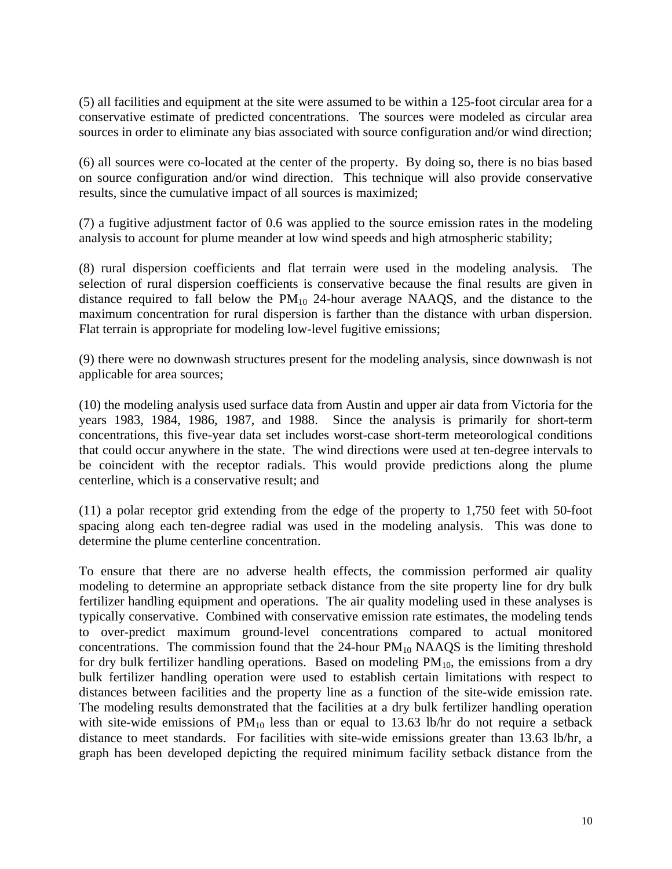(5) all facilities and equipment at the site were assumed to be within a 125-foot circular area for a conservative estimate of predicted concentrations. The sources were modeled as circular area sources in order to eliminate any bias associated with source configuration and/or wind direction;

(6) all sources were co-located at the center of the property. By doing so, there is no bias based on source configuration and/or wind direction. This technique will also provide conservative results, since the cumulative impact of all sources is maximized;

(7) a fugitive adjustment factor of 0.6 was applied to the source emission rates in the modeling analysis to account for plume meander at low wind speeds and high atmospheric stability;

(8) rural dispersion coefficients and flat terrain were used in the modeling analysis. The selection of rural dispersion coefficients is conservative because the final results are given in distance required to fall below the  $PM_{10}$  24-hour average NAAQS, and the distance to the maximum concentration for rural dispersion is farther than the distance with urban dispersion. Flat terrain is appropriate for modeling low-level fugitive emissions;

(9) there were no downwash structures present for the modeling analysis, since downwash is not applicable for area sources;

(10) the modeling analysis used surface data from Austin and upper air data from Victoria for the years 1983, 1984, 1986, 1987, and 1988. Since the analysis is primarily for short-term concentrations, this five-year data set includes worst-case short-term meteorological conditions that could occur anywhere in the state. The wind directions were used at ten-degree intervals to be coincident with the receptor radials. This would provide predictions along the plume centerline, which is a conservative result; and

(11) a polar receptor grid extending from the edge of the property to 1,750 feet with 50-foot spacing along each ten-degree radial was used in the modeling analysis. This was done to determine the plume centerline concentration.

for dry bulk fertilizer handling operations. Based on modeling  $PM_{10}$ , the emissions from a dry distances between facilities and the property line as a function of the site-wide emission rate. To ensure that there are no adverse health effects, the commission performed air quality modeling to determine an appropriate setback distance from the site property line for dry bulk fertilizer handling equipment and operations. The air quality modeling used in these analyses is typically conservative. Combined with conservative emission rate estimates, the modeling tends to over-predict maximum ground-level concentrations compared to actual monitored concentrations. The commission found that the  $24$ -hour  $PM_{10}$  NAAQS is the limiting threshold bulk fertilizer handling operation were used to establish certain limitations with respect to The modeling results demonstrated that the facilities at a dry bulk fertilizer handling operation with site-wide emissions of  $PM_{10}$  less than or equal to 13.63 lb/hr do not require a setback distance to meet standards. For facilities with site-wide emissions greater than 13.63 lb/hr, a graph has been developed depicting the required minimum facility setback distance from the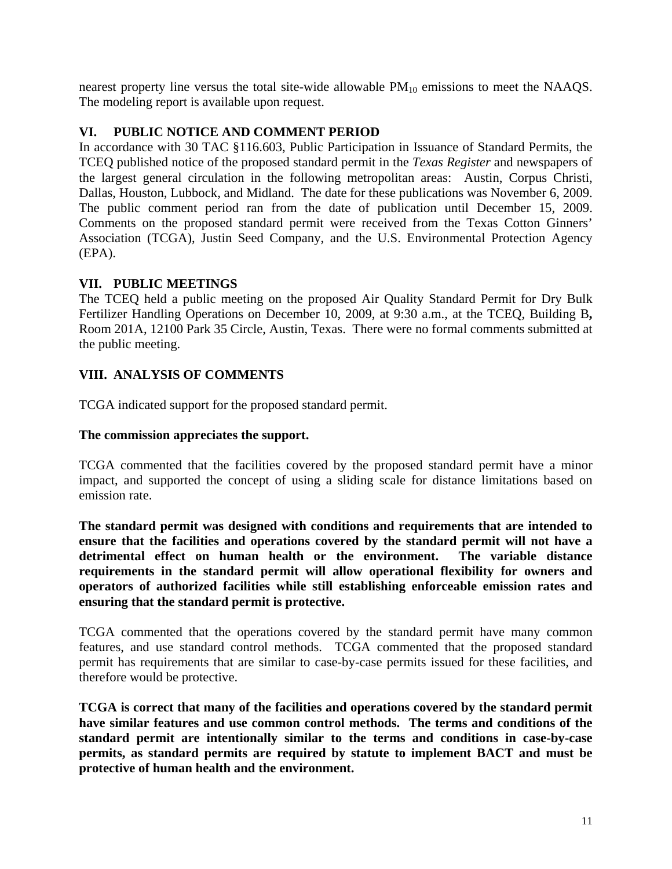nearest property line versus the total site-wide allowable  $PM_{10}$  emissions to meet the NAAQS. The modeling report is available upon request.

### **VI. PUBLIC NOTICE AND COMMENT PERIOD**

The public comment period ran from the date of publication until December 15, 2009. In accordance with 30 TAC §116.603, Public Participation in Issuance of Standard Permits, the TCEQ published notice of the proposed standard permit in the *Texas Register* and newspapers of the largest general circulation in the following metropolitan areas: Austin, Corpus Christi, Dallas, Houston, Lubbock, and Midland. The date for these publications was November 6, 2009. Comments on the proposed standard permit were received from the Texas Cotton Ginners' Association (TCGA), Justin Seed Company, and the U.S. Environmental Protection Agency (EPA).

# **VII. PUBLIC MEETINGS**

The TCEQ held a public meeting on the proposed Air Quality Standard Permit for Dry Bulk Fertilizer Handling Operations on December 10, 2009, at 9:30 a.m., at the TCEQ, Building B**,**  Room 201A, 12100 Park 35 Circle, Austin, Texas. There were no formal comments submitted at the public meeting.

# **VIII. ANALYSIS OF COMMENTS**

TCGA indicated support for the proposed standard permit.

### **The commission appreciates the support.**

TCGA commented that the facilities covered by the proposed standard permit have a minor impact, and supported the concept of using a sliding scale for distance limitations based on emission rate.

**The standard permit was designed with conditions and requirements that are intended to ensure that the facilities and operations covered by the standard permit will not have a detrimental effect on human health or the environment. The variable distance requirements in the standard permit will allow operational flexibility for owners and operators of authorized facilities while still establishing enforceable emission rates and ensuring that the standard permit is protective.** 

TCGA commented that the operations covered by the standard permit have many common features, and use standard control methods. TCGA commented that the proposed standard permit has requirements that are similar to case-by-case permits issued for these facilities, and therefore would be protective.

**TCGA is correct that many of the facilities and operations covered by the standard permit have similar features and use common control methods. The terms and conditions of the standard permit are intentionally similar to the terms and conditions in case-by-case permits, as standard permits are required by statute to implement BACT and must be protective of human health and the environment.**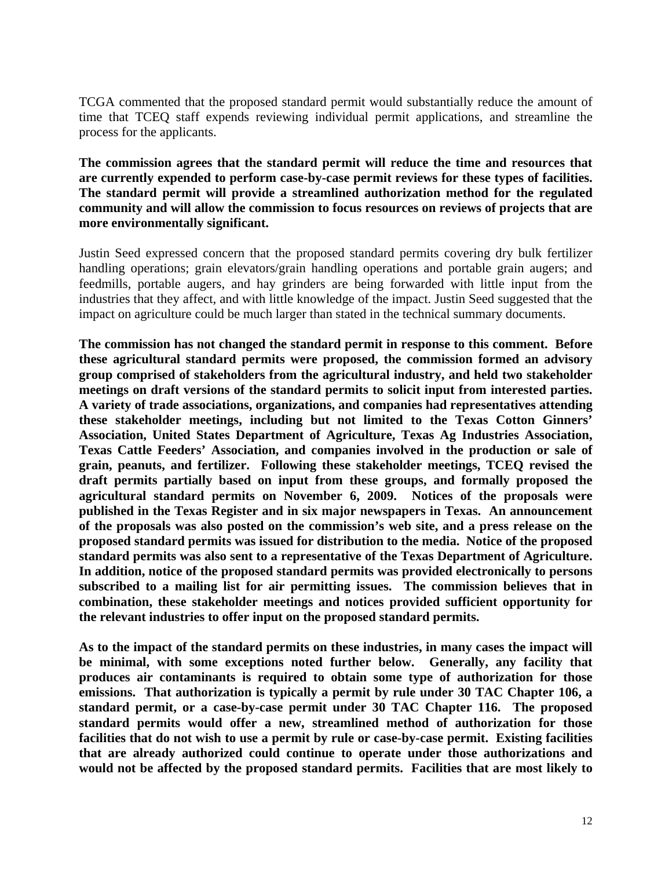TCGA commented that the proposed standard permit would substantially reduce the amount of time that TCEQ staff expends reviewing individual permit applications, and streamline the process for the applicants.

 **are currently expended to perform case-by-case permit reviews for these types of facilities. The standard permit will provide a streamlined authorization method for the regulated The commission agrees that the standard permit will reduce the time and resources that community and will allow the commission to focus resources on reviews of projects that are more environmentally significant.** 

Justin Seed expressed concern that the proposed standard permits covering dry bulk fertilizer handling operations; grain elevators/grain handling operations and portable grain augers; and feedmills, portable augers, and hay grinders are being forwarded with little input from the industries that they affect, and with little knowledge of the impact. Justin Seed suggested that the impact on agriculture could be much larger than stated in the technical summary documents.

**The commission has not changed the standard permit in response to this comment. Before these agricultural standard permits were proposed, the commission formed an advisory group comprised of stakeholders from the agricultural industry, and held two stakeholder meetings on draft versions of the standard permits to solicit input from interested parties. A variety of trade associations, organizations, and companies had representatives attending these stakeholder meetings, including but not limited to the Texas Cotton Ginners' Association, United States Department of Agriculture, Texas Ag Industries Association, Texas Cattle Feeders' Association, and companies involved in the production or sale of grain, peanuts, and fertilizer. Following these stakeholder meetings, TCEQ revised the draft permits partially based on input from these groups, and formally proposed the agricultural standard permits on November 6, 2009. Notices of the proposals were published in the Texas Register and in six major newspapers in Texas. An announcement of the proposals was also posted on the commission's web site, and a press release on the proposed standard permits was issued for distribution to the media. Notice of the proposed standard permits was also sent to a representative of the Texas Department of Agriculture. In addition, notice of the proposed standard permits was provided electronically to persons subscribed to a mailing list for air permitting issues. The commission believes that in combination, these stakeholder meetings and notices provided sufficient opportunity for the relevant industries to offer input on the proposed standard permits.** 

**As to the impact of the standard permits on these industries, in many cases the impact will be minimal, with some exceptions noted further below. Generally, any facility that produces air contaminants is required to obtain some type of authorization for those emissions. That authorization is typically a permit by rule under 30 TAC Chapter 106, a standard permit, or a case-by-case permit under 30 TAC Chapter 116. The proposed standard permits would offer a new, streamlined method of authorization for those facilities that do not wish to use a permit by rule or case-by-case permit. Existing facilities that are already authorized could continue to operate under those authorizations and would not be affected by the proposed standard permits. Facilities that are most likely to**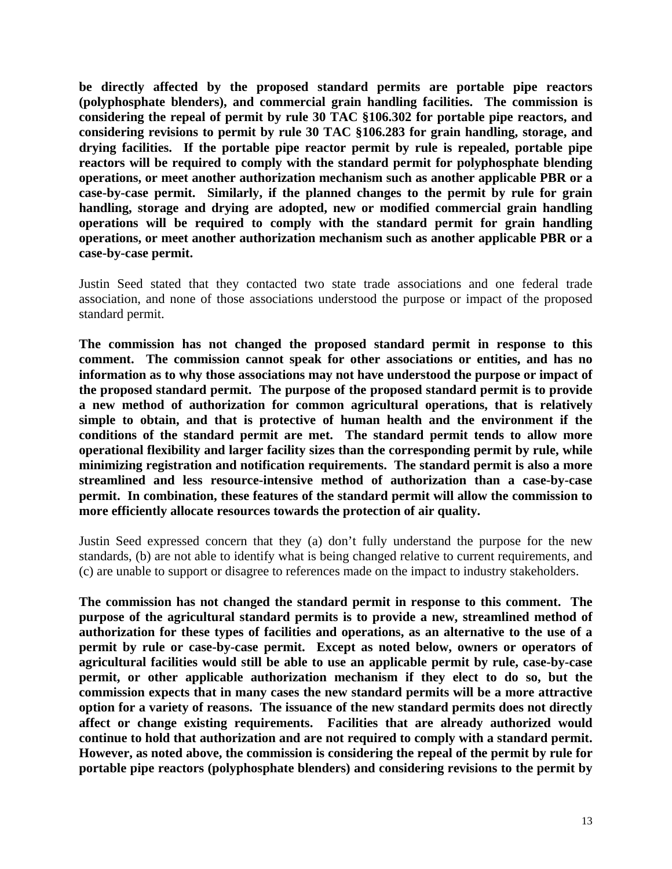**be directly affected by the proposed standard permits are portable pipe reactors (polyphosphate blenders), and commercial grain handling facilities. The commission is considering the repeal of permit by rule 30 TAC §106.302 for portable pipe reactors, and considering revisions to permit by rule 30 TAC §106.283 for grain handling, storage, and drying facilities. If the portable pipe reactor permit by rule is repealed, portable pipe reactors will be required to comply with the standard permit for polyphosphate blending operations, or meet another authorization mechanism such as another applicable PBR or a case-by-case permit. Similarly, if the planned changes to the permit by rule for grain handling, storage and drying are adopted, new or modified commercial grain handling operations will be required to comply with the standard permit for grain handling operations, or meet another authorization mechanism such as another applicable PBR or a case-by-case permit.** 

Justin Seed stated that they contacted two state trade associations and one federal trade association, and none of those associations understood the purpose or impact of the proposed standard permit.

 **the proposed standard permit. The purpose of the proposed standard permit is to provide The commission has not changed the proposed standard permit in response to this comment. The commission cannot speak for other associations or entities, and has no information as to why those associations may not have understood the purpose or impact of a new method of authorization for common agricultural operations, that is relatively simple to obtain, and that is protective of human health and the environment if the conditions of the standard permit are met. The standard permit tends to allow more operational flexibility and larger facility sizes than the corresponding permit by rule, while minimizing registration and notification requirements. The standard permit is also a more streamlined and less resource-intensive method of authorization than a case-by-case permit. In combination, these features of the standard permit will allow the commission to more efficiently allocate resources towards the protection of air quality.** 

Justin Seed expressed concern that they (a) don't fully understand the purpose for the new standards, (b) are not able to identify what is being changed relative to current requirements, and (c) are unable to support or disagree to references made on the impact to industry stakeholders.

**The commission has not changed the standard permit in response to this comment. The purpose of the agricultural standard permits is to provide a new, streamlined method of authorization for these types of facilities and operations, as an alternative to the use of a permit by rule or case-by-case permit. Except as noted below, owners or operators of agricultural facilities would still be able to use an applicable permit by rule, case-by-case permit, or other applicable authorization mechanism if they elect to do so, but the commission expects that in many cases the new standard permits will be a more attractive option for a variety of reasons. The issuance of the new standard permits does not directly affect or change existing requirements. Facilities that are already authorized would continue to hold that authorization and are not required to comply with a standard permit. However, as noted above, the commission is considering the repeal of the permit by rule for portable pipe reactors (polyphosphate blenders) and considering revisions to the permit by**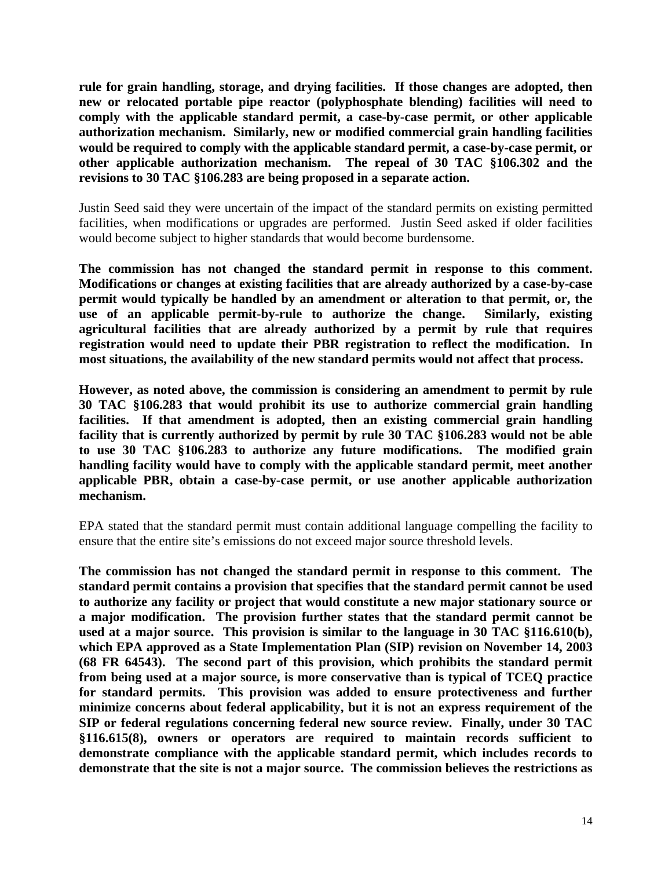**rule for grain handling, storage, and drying facilities. If those changes are adopted, then new or relocated portable pipe reactor (polyphosphate blending) facilities will need to comply with the applicable standard permit, a case-by-case permit, or other applicable authorization mechanism. Similarly, new or modified commercial grain handling facilities would be required to comply with the applicable standard permit, a case-by-case permit, or other applicable authorization mechanism. The repeal of 30 TAC §106.302 and the revisions to 30 TAC §106.283 are being proposed in a separate action.** 

Justin Seed said they were uncertain of the impact of the standard permits on existing permitted facilities, when modifications or upgrades are performed. Justin Seed asked if older facilities would become subject to higher standards that would become burdensome.

**The commission has not changed the standard permit in response to this comment. Modifications or changes at existing facilities that are already authorized by a case-by-case permit would typically be handled by an amendment or alteration to that permit, or, the use of an applicable permit-by-rule to authorize the change. Similarly, existing agricultural facilities that are already authorized by a permit by rule that requires registration would need to update their PBR registration to reflect the modification. In most situations, the availability of the new standard permits would not affect that process.** 

**However, as noted above, the commission is considering an amendment to permit by rule 30 TAC §106.283 that would prohibit its use to authorize commercial grain handling facilities. If that amendment is adopted, then an existing commercial grain handling facility that is currently authorized by permit by rule 30 TAC §106.283 would not be able to use 30 TAC §106.283 to authorize any future modifications. The modified grain handling facility would have to comply with the applicable standard permit, meet another applicable PBR, obtain a case-by-case permit, or use another applicable authorization mechanism.** 

EPA stated that the standard permit must contain additional language compelling the facility to ensure that the entire site's emissions do not exceed major source threshold levels.

**The commission has not changed the standard permit in response to this comment. The standard permit contains a provision that specifies that the standard permit cannot be used to authorize any facility or project that would constitute a new major stationary source or a major modification. The provision further states that the standard permit cannot be used at a major source. This provision is similar to the language in 30 TAC §116.610(b), which EPA approved as a State Implementation Plan (SIP) revision on November 14, 2003 (68 FR 64543). The second part of this provision, which prohibits the standard permit from being used at a major source, is more conservative than is typical of TCEQ practice for standard permits. This provision was added to ensure protectiveness and further minimize concerns about federal applicability, but it is not an express requirement of the SIP or federal regulations concerning federal new source review. Finally, under 30 TAC §116.615(8), owners or operators are required to maintain records sufficient to demonstrate compliance with the applicable standard permit, which includes records to demonstrate that the site is not a major source. The commission believes the restrictions as**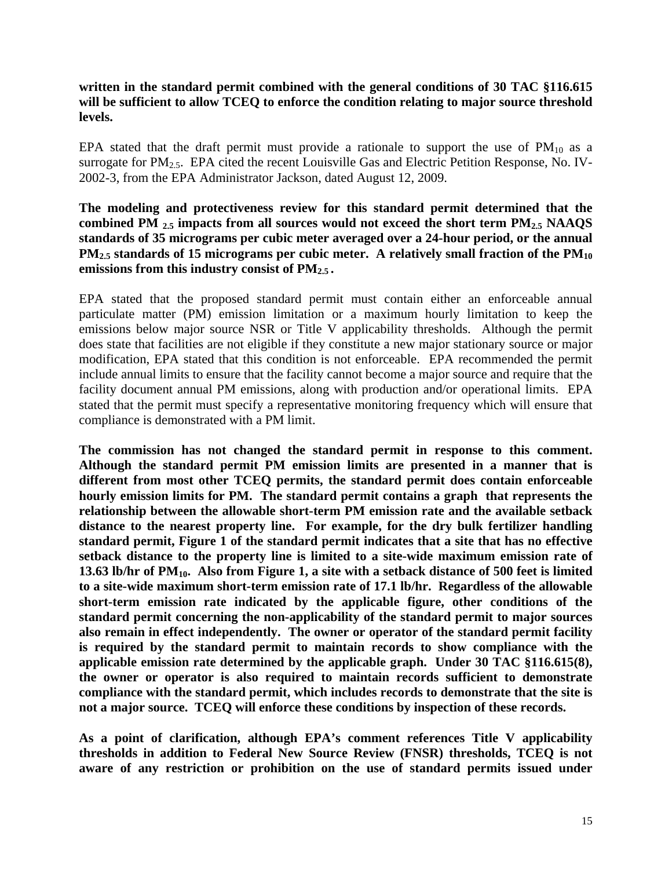### **written in the standard permit combined with the general conditions of 30 TAC §116.615 will be sufficient to allow TCEQ to enforce the condition relating to major source threshold levels.**

EPA stated that the draft permit must provide a rationale to support the use of  $PM_{10}$  as a surrogate for PM<sub>2.5</sub>. EPA cited the recent Louisville Gas and Electric Petition Response, No. IV-2002-3, from the EPA Administrator Jackson, dated August 12, 2009.

### **The modeling and protectiveness review for this standard permit determined that the combined PM 2.5 impacts from all sources would not exceed the short term PM2.5 NAAQS standards of 35 micrograms per cubic meter averaged over a 24-hour period, or the annual**  PM<sub>2.5</sub> standards of 15 micrograms per cubic meter. A relatively small fraction of the PM<sub>10</sub> **emissions from this industry consist of PM2.5 .**

EPA stated that the proposed standard permit must contain either an enforceable annual particulate matter (PM) emission limitation or a maximum hourly limitation to keep the emissions below major source NSR or Title V applicability thresholds. Although the permit does state that facilities are not eligible if they constitute a new major stationary source or major modification, EPA stated that this condition is not enforceable. EPA recommended the permit include annual limits to ensure that the facility cannot become a major source and require that the facility document annual PM emissions, along with production and/or operational limits. EPA stated that the permit must specify a representative monitoring frequency which will ensure that compliance is demonstrated with a PM limit.

**The commission has not changed the standard permit in response to this comment. Although the standard permit PM emission limits are presented in a manner that is different from most other TCEQ permits, the standard permit does contain enforceable hourly emission limits for PM. The standard permit contains a graph that represents the relationship between the allowable short-term PM emission rate and the available setback distance to the nearest property line. For example, for the dry bulk fertilizer handling standard permit, Figure 1 of the standard permit indicates that a site that has no effective setback distance to the property line is limited to a site-wide maximum emission rate of 13.63 lb/hr of PM10. Also from Figure 1, a site with a setback distance of 500 feet is limited to a site-wide maximum short-term emission rate of 17.1 lb/hr. Regardless of the allowable short-term emission rate indicated by the applicable figure, other conditions of the standard permit concerning the non-applicability of the standard permit to major sources also remain in effect independently. The owner or operator of the standard permit facility is required by the standard permit to maintain records to show compliance with the applicable emission rate determined by the applicable graph. Under 30 TAC §116.615(8), the owner or operator is also required to maintain records sufficient to demonstrate compliance with the standard permit, which includes records to demonstrate that the site is not a major source. TCEQ will enforce these conditions by inspection of these records.** 

**As a point of clarification, although EPA's comment references Title V applicability thresholds in addition to Federal New Source Review (FNSR) thresholds, TCEQ is not aware of any restriction or prohibition on the use of standard permits issued under**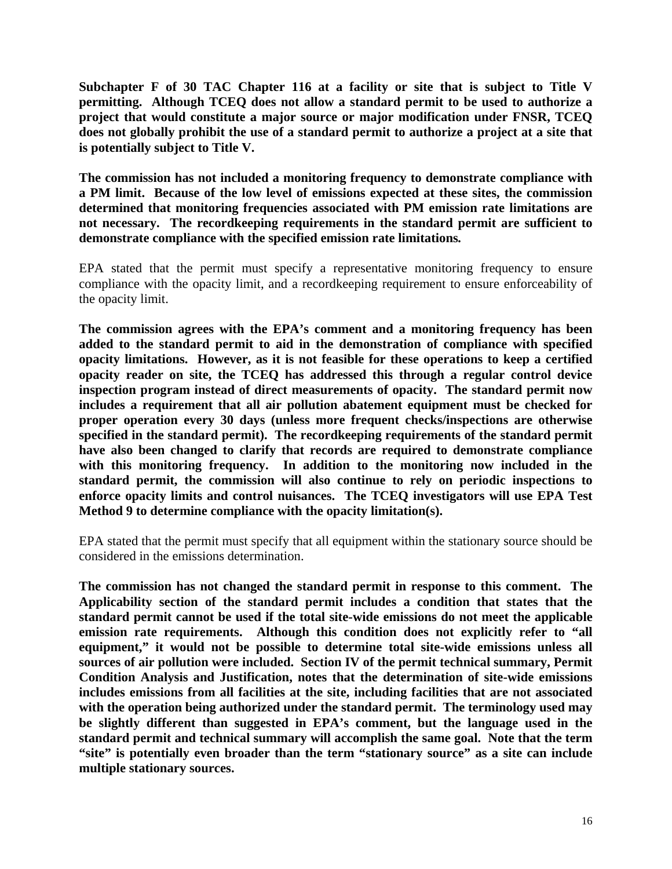**Subchapter F of 30 TAC Chapter 116 at a facility or site that is subject to Title V permitting. Although TCEQ does not allow a standard permit to be used to authorize a project that would constitute a major source or major modification under FNSR, TCEQ does not globally prohibit the use of a standard permit to authorize a project at a site that is potentially subject to Title V.** 

**The commission has not included a monitoring frequency to demonstrate compliance with a PM limit. Because of the low level of emissions expected at these sites, the commission determined that monitoring frequencies associated with PM emission rate limitations are not necessary. The recordkeeping requirements in the standard permit are sufficient to demonstrate compliance with the specified emission rate limitations***.* 

EPA stated that the permit must specify a representative monitoring frequency to ensure compliance with the opacity limit, and a recordkeeping requirement to ensure enforceability of the opacity limit.

**The commission agrees with the EPA's comment and a monitoring frequency has been added to the standard permit to aid in the demonstration of compliance with specified opacity limitations. However, as it is not feasible for these operations to keep a certified opacity reader on site, the TCEQ has addressed this through a regular control device inspection program instead of direct measurements of opacity. The standard permit now includes a requirement that all air pollution abatement equipment must be checked for proper operation every 30 days (unless more frequent checks/inspections are otherwise specified in the standard permit). The recordkeeping requirements of the standard permit have also been changed to clarify that records are required to demonstrate compliance with this monitoring frequency. In addition to the monitoring now included in the standard permit, the commission will also continue to rely on periodic inspections to enforce opacity limits and control nuisances. The TCEQ investigators will use EPA Test Method 9 to determine compliance with the opacity limitation(s).** 

EPA stated that the permit must specify that all equipment within the stationary source should be considered in the emissions determination.

**The commission has not changed the standard permit in response to this comment. The Applicability section of the standard permit includes a condition that states that the standard permit cannot be used if the total site-wide emissions do not meet the applicable emission rate requirements. Although this condition does not explicitly refer to "all equipment," it would not be possible to determine total site-wide emissions unless all sources of air pollution were included. Section IV of the permit technical summary, Permit Condition Analysis and Justification, notes that the determination of site-wide emissions includes emissions from all facilities at the site, including facilities that are not associated with the operation being authorized under the standard permit. The terminology used may be slightly different than suggested in EPA's comment, but the language used in the standard permit and technical summary will accomplish the same goal. Note that the term "site" is potentially even broader than the term "stationary source" as a site can include multiple stationary sources.**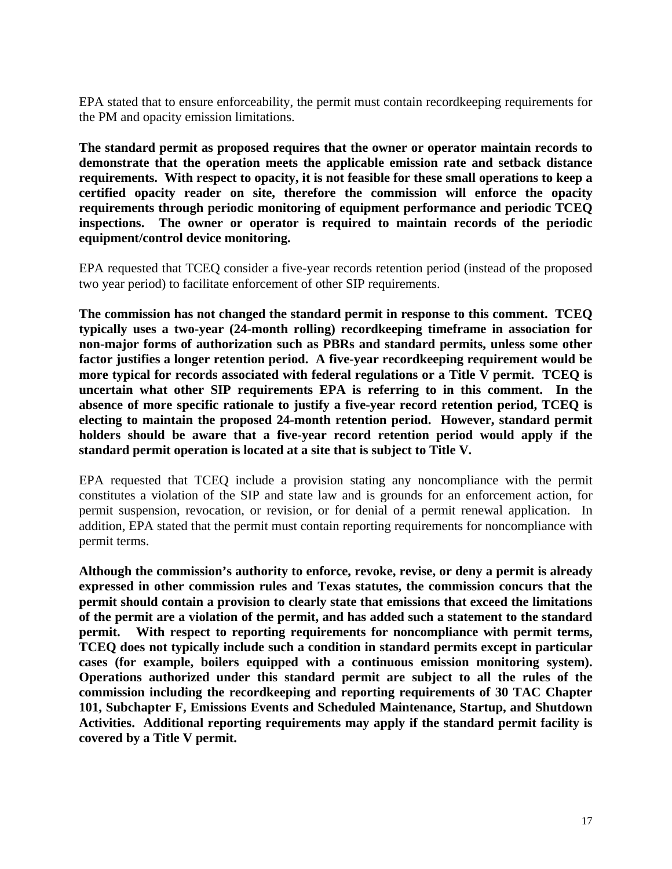EPA stated that to ensure enforceability, the permit must contain recordkeeping requirements for the PM and opacity emission limitations.

**The standard permit as proposed requires that the owner or operator maintain records to demonstrate that the operation meets the applicable emission rate and setback distance requirements. With respect to opacity, it is not feasible for these small operations to keep a certified opacity reader on site, therefore the commission will enforce the opacity requirements through periodic monitoring of equipment performance and periodic TCEQ inspections. The owner or operator is required to maintain records of the periodic equipment/control device monitoring.** 

EPA requested that TCEQ consider a five-year records retention period (instead of the proposed two year period) to facilitate enforcement of other SIP requirements.

**The commission has not changed the standard permit in response to this comment. TCEQ typically uses a two-year (24-month rolling) recordkeeping timeframe in association for non-major forms of authorization such as PBRs and standard permits, unless some other factor justifies a longer retention period. A five-year recordkeeping requirement would be more typical for records associated with federal regulations or a Title V permit. TCEQ is uncertain what other SIP requirements EPA is referring to in this comment. In the absence of more specific rationale to justify a five-year record retention period, TCEQ is electing to maintain the proposed 24-month retention period. However, standard permit holders should be aware that a five-year record retention period would apply if the standard permit operation is located at a site that is subject to Title V.** 

EPA requested that TCEQ include a provision stating any noncompliance with the permit constitutes a violation of the SIP and state law and is grounds for an enforcement action, for permit suspension, revocation, or revision, or for denial of a permit renewal application. In addition, EPA stated that the permit must contain reporting requirements for noncompliance with permit terms.

**Although the commission's authority to enforce, revoke, revise, or deny a permit is already expressed in other commission rules and Texas statutes, the commission concurs that the permit should contain a provision to clearly state that emissions that exceed the limitations of the permit are a violation of the permit, and has added such a statement to the standard permit. With respect to reporting requirements for noncompliance with permit terms, TCEQ does not typically include such a condition in standard permits except in particular cases (for example, boilers equipped with a continuous emission monitoring system). Operations authorized under this standard permit are subject to all the rules of the commission including the recordkeeping and reporting requirements of 30 TAC Chapter 101, Subchapter F, Emissions Events and Scheduled Maintenance, Startup, and Shutdown Activities. Additional reporting requirements may apply if the standard permit facility is covered by a Title V permit.**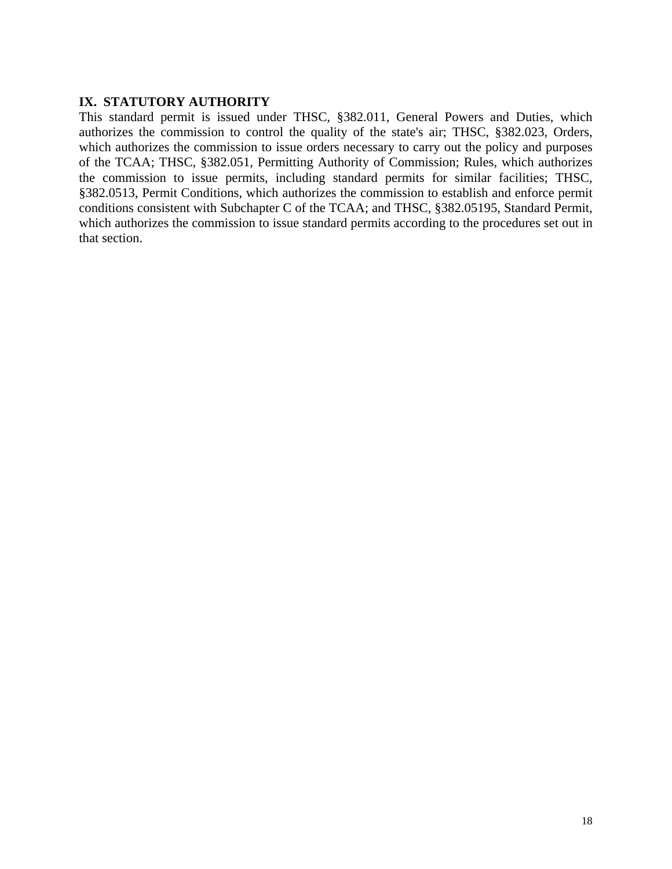# **IX. STATUTORY AUTHORITY**

This standard permit is issued under THSC, §382.011, General Powers and Duties, which authorizes the commission to control the quality of the state's air; THSC, §382.023, Orders, which authorizes the commission to issue orders necessary to carry out the policy and purposes of the TCAA; THSC, §382.051, Permitting Authority of Commission; Rules, which authorizes the commission to issue permits, including standard permits for similar facilities; THSC, §382.0513, Permit Conditions, which authorizes the commission to establish and enforce permit conditions consistent with Subchapter C of the TCAA; and THSC, §382.05195, Standard Permit, which authorizes the commission to issue standard permits according to the procedures set out in that section.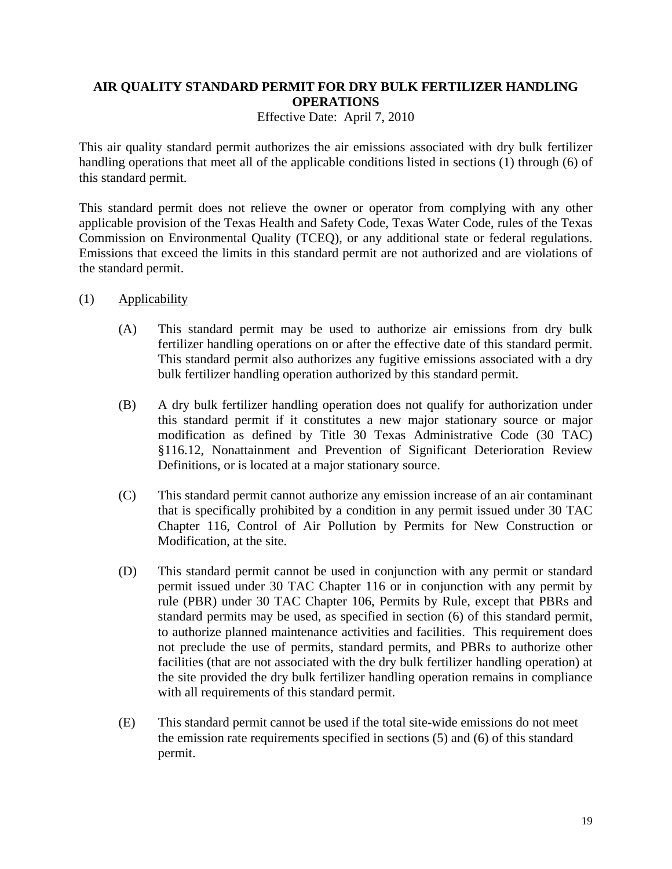# **AIR QUALITY STANDARD PERMIT FOR DRY BULK FERTILIZER HANDLING OPERATIONS**

Effective Date: April 7, 2010

This air quality standard permit authorizes the air emissions associated with dry bulk fertilizer handling operations that meet all of the applicable conditions listed in sections (1) through (6) of this standard permit.

This standard permit does not relieve the owner or operator from complying with any other applicable provision of the Texas Health and Safety Code, Texas Water Code, rules of the Texas Commission on Environmental Quality (TCEQ), or any additional state or federal regulations. Emissions that exceed the limits in this standard permit are not authorized and are violations of the standard permit.

- (1) Applicability
	- (A) This standard permit may be used to authorize air emissions from dry bulk fertilizer handling operations on or after the effective date of this standard permit. This standard permit also authorizes any fugitive emissions associated with a dry bulk fertilizer handling operation authorized by this standard permit*.*
	- (B) A dry bulk fertilizer handling operation does not qualify for authorization under this standard permit if it constitutes a new major stationary source or major modification as defined by Title 30 Texas Administrative Code (30 TAC) §116.12, Nonattainment and Prevention of Significant Deterioration Review Definitions, or is located at a major stationary source.
	- (C) This standard permit cannot authorize any emission increase of an air contaminant that is specifically prohibited by a condition in any permit issued under 30 TAC Chapter 116, Control of Air Pollution by Permits for New Construction or Modification, at the site.
	- (D) This standard permit cannot be used in conjunction with any permit or standard permit issued under 30 TAC Chapter 116 or in conjunction with any permit by rule (PBR) under 30 TAC Chapter 106, Permits by Rule, except that PBRs and standard permits may be used, as specified in section (6) of this standard permit, to authorize planned maintenance activities and facilities. This requirement does not preclude the use of permits, standard permits, and PBRs to authorize other facilities (that are not associated with the dry bulk fertilizer handling operation) at the site provided the dry bulk fertilizer handling operation remains in compliance with all requirements of this standard permit.
	- (E) This standard permit cannot be used if the total site-wide emissions do not meet the emission rate requirements specified in sections (5) and (6) of this standard permit.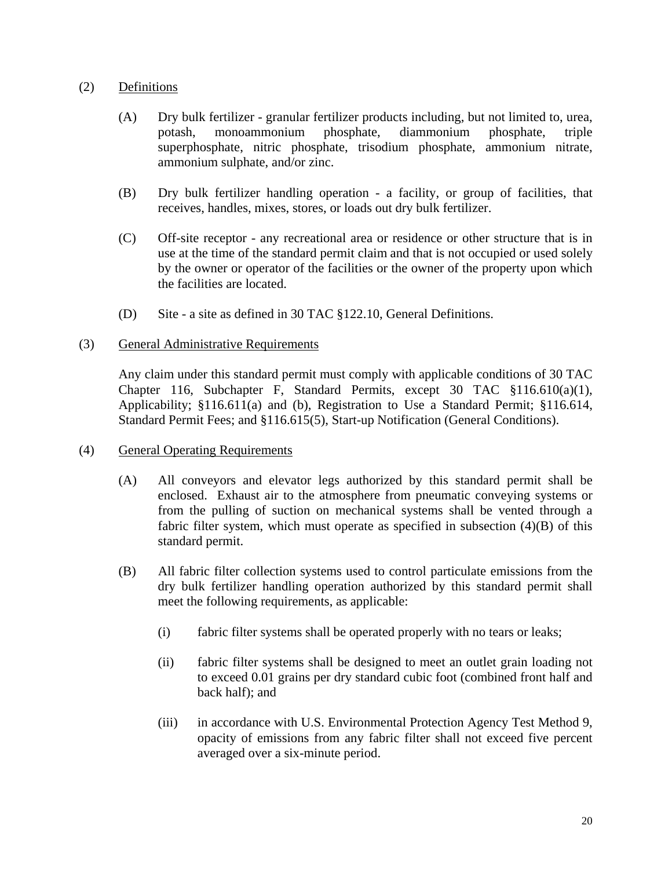# (2) Definitions

- (A) Dry bulk fertilizer granular fertilizer products including, but not limited to, urea, potash, monoammonium phosphate, diammonium phosphate, triple superphosphate, nitric phosphate, trisodium phosphate, ammonium nitrate, ammonium sulphate, and/or zinc.
- (B) Dry bulk fertilizer handling operation a facility, or group of facilities, that receives, handles, mixes, stores, or loads out dry bulk fertilizer.
- (C) Off-site receptor any recreational area or residence or other structure that is in use at the time of the standard permit claim and that is not occupied or used solely by the owner or operator of the facilities or the owner of the property upon which the facilities are located.
- (D) Site a site as defined in 30 TAC §122.10, General Definitions.

#### (3) General Administrative Requirements

Any claim under this standard permit must comply with applicable conditions of 30 TAC Chapter 116, Subchapter F, Standard Permits, except 30 TAC §116.610(a)(1), Applicability; §116.611(a) and (b), Registration to Use a Standard Permit; §116.614, Standard Permit Fees; and §116.615(5), Start-up Notification (General Conditions).

- (4) General Operating Requirements
	- (A) All conveyors and elevator legs authorized by this standard permit shall be enclosed. Exhaust air to the atmosphere from pneumatic conveying systems or from the pulling of suction on mechanical systems shall be vented through a fabric filter system, which must operate as specified in subsection  $(4)(B)$  of this standard permit.
	- (B) All fabric filter collection systems used to control particulate emissions from the dry bulk fertilizer handling operation authorized by this standard permit shall meet the following requirements, as applicable:
		- (i) fabric filter systems shall be operated properly with no tears or leaks;
		- (ii) fabric filter systems shall be designed to meet an outlet grain loading not to exceed 0.01 grains per dry standard cubic foot (combined front half and back half); and
		- (iii) in accordance with U.S. Environmental Protection Agency Test Method 9, opacity of emissions from any fabric filter shall not exceed five percent averaged over a six-minute period.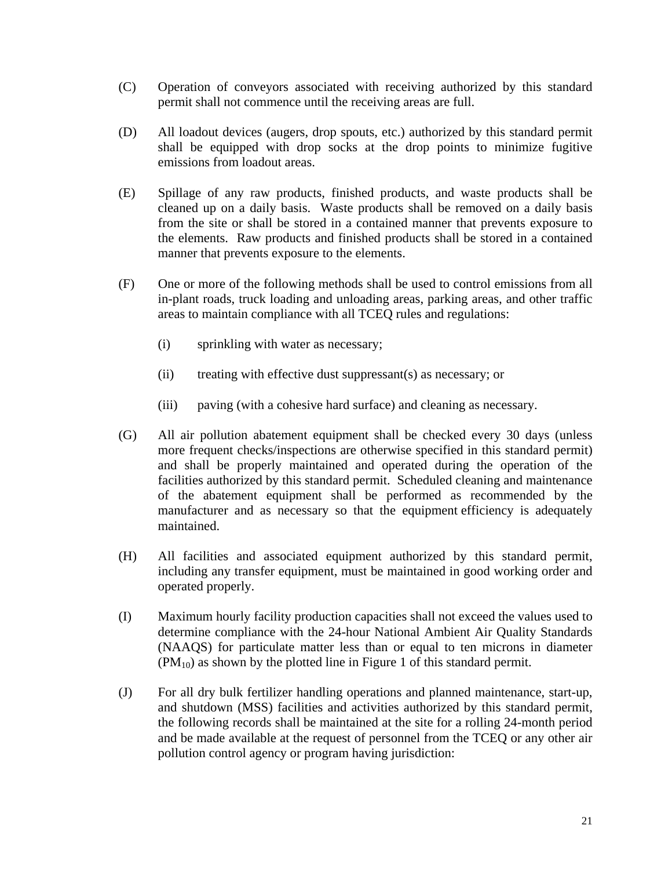- (C) Operation of conveyors associated with receiving authorized by this standard permit shall not commence until the receiving areas are full.
- (D) All loadout devices (augers, drop spouts, etc.) authorized by this standard permit shall be equipped with drop socks at the drop points to minimize fugitive emissions from loadout areas.
- (E) Spillage of any raw products, finished products, and waste products shall be cleaned up on a daily basis. Waste products shall be removed on a daily basis from the site or shall be stored in a contained manner that prevents exposure to the elements. Raw products and finished products shall be stored in a contained manner that prevents exposure to the elements.
- (F) One or more of the following methods shall be used to control emissions from all in-plant roads, truck loading and unloading areas, parking areas, and other traffic areas to maintain compliance with all TCEQ rules and regulations:
	- (i) sprinkling with water as necessary;
	- (ii) treating with effective dust suppressant(s) as necessary; or
	- (iii) paving (with a cohesive hard surface) and cleaning as necessary.
- (G) All air pollution abatement equipment shall be checked every 30 days (unless more frequent checks/inspections are otherwise specified in this standard permit) and shall be properly maintained and operated during the operation of the facilities authorized by this standard permit. Scheduled cleaning and maintenance of the abatement equipment shall be performed as recommended by the manufacturer and as necessary so that the equipment efficiency is adequately maintained.
- (H) All facilities and associated equipment authorized by this standard permit, including any transfer equipment, must be maintained in good working order and operated properly.
- (I) Maximum hourly facility production capacities shall not exceed the values used to determine compliance with the 24-hour National Ambient Air Quality Standards (NAAQS) for particulate matter less than or equal to ten microns in diameter  $(PM_{10})$  as shown by the plotted line in Figure 1 of this standard permit.
- (J) For all dry bulk fertilizer handling operations and planned maintenance, start-up, and shutdown (MSS) facilities and activities authorized by this standard permit, the following records shall be maintained at the site for a rolling 24-month period and be made available at the request of personnel from the TCEQ or any other air pollution control agency or program having jurisdiction: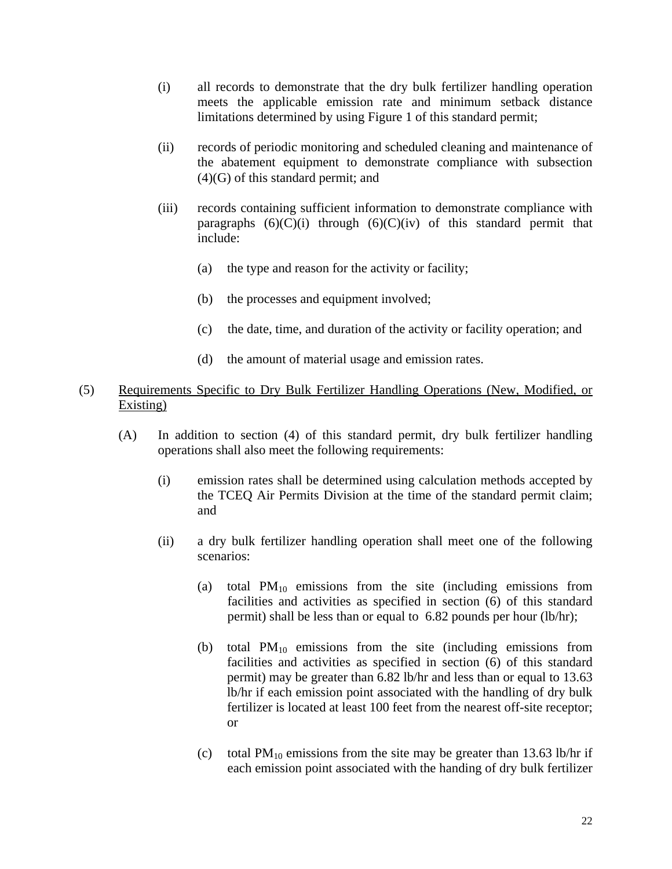- (i) all records to demonstrate that the dry bulk fertilizer handling operation meets the applicable emission rate and minimum setback distance limitations determined by using Figure 1 of this standard permit;
- (ii) records of periodic monitoring and scheduled cleaning and maintenance of the abatement equipment to demonstrate compliance with subsection (4)(G) of this standard permit; and
- (iii) records containing sufficient information to demonstrate compliance with paragraphs  $(6)(C)(i)$  through  $(6)(C)(iv)$  of this standard permit that include:
	- (a) the type and reason for the activity or facility;
	- (b) the processes and equipment involved;
	- (c) the date, time, and duration of the activity or facility operation; and
	- (d) the amount of material usage and emission rates.

### (5) Requirements Specific to Dry Bulk Fertilizer Handling Operations (New, Modified, or Existing)

- (A) In addition to section (4) of this standard permit, dry bulk fertilizer handling operations shall also meet the following requirements:
	- (i) emission rates shall be determined using calculation methods accepted by the TCEQ Air Permits Division at the time of the standard permit claim; and
	- (ii) a dry bulk fertilizer handling operation shall meet one of the following scenarios:
		- (a) total  $PM_{10}$  emissions from the site (including emissions from facilities and activities as specified in section (6) of this standard permit) shall be less than or equal to 6.82 pounds per hour (lb/hr);
		- (b) total  $PM_{10}$  emissions from the site (including emissions from facilities and activities as specified in section (6) of this standard permit) may be greater than 6.82 lb/hr and less than or equal to 13.63 lb/hr if each emission point associated with the handling of dry bulk fertilizer is located at least 100 feet from the nearest off-site receptor; or
		- (c) total  $PM_{10}$  emissions from the site may be greater than 13.63 lb/hr if each emission point associated with the handing of dry bulk fertilizer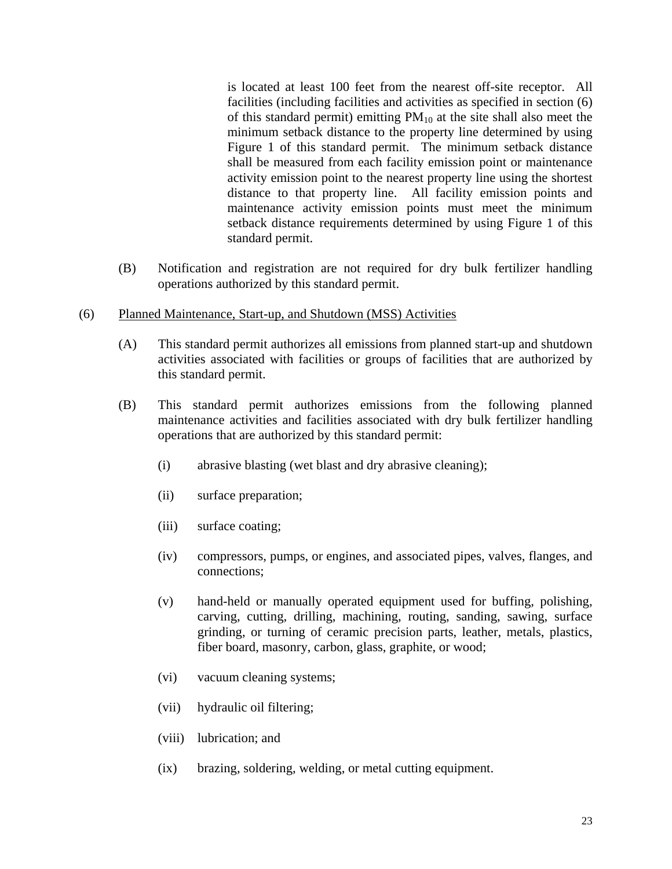is located at least 100 feet from the nearest off-site receptor. All facilities (including facilities and activities as specified in section (6) of this standard permit) emitting  $PM_{10}$  at the site shall also meet the minimum setback distance to the property line determined by using Figure 1 of this standard permit. The minimum setback distance shall be measured from each facility emission point or maintenance activity emission point to the nearest property line using the shortest distance to that property line. All facility emission points and maintenance activity emission points must meet the minimum setback distance requirements determined by using Figure 1 of this standard permit.

- (B) Notification and registration are not required for dry bulk fertilizer handling operations authorized by this standard permit.
- (6) Planned Maintenance, Start-up, and Shutdown (MSS) Activities
	- (A) This standard permit authorizes all emissions from planned start-up and shutdown activities associated with facilities or groups of facilities that are authorized by this standard permit.
	- (B) This standard permit authorizes emissions from the following planned maintenance activities and facilities associated with dry bulk fertilizer handling operations that are authorized by this standard permit:
		- (i) abrasive blasting (wet blast and dry abrasive cleaning);
		- (ii) surface preparation;
		- (iii) surface coating;
		- (iv) compressors, pumps, or engines, and associated pipes, valves, flanges, and connections;
		- (v) hand-held or manually operated equipment used for buffing, polishing, carving, cutting, drilling, machining, routing, sanding, sawing, surface grinding, or turning of ceramic precision parts, leather, metals, plastics, fiber board, masonry, carbon, glass, graphite, or wood;
		- (vi) vacuum cleaning systems;
		- (vii) hydraulic oil filtering;
		- (viii) lubrication; and
		- (ix) brazing, soldering, welding, or metal cutting equipment.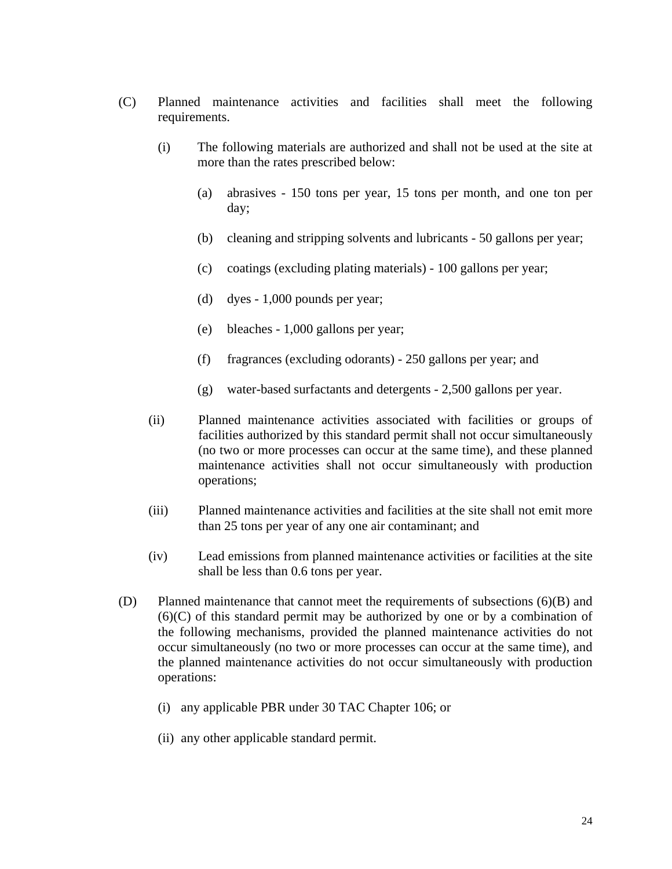- (C) Planned maintenance activities and facilities shall meet the following requirements.
	- (i) The following materials are authorized and shall not be used at the site at more than the rates prescribed below:
		- (a) abrasives 150 tons per year, 15 tons per month, and one ton per day;
		- (b) cleaning and stripping solvents and lubricants 50 gallons per year;
		- (c) coatings (excluding plating materials) 100 gallons per year;
		- (d) dyes  $-1,000$  pounds per year;
		- (e) bleaches 1,000 gallons per year;
		- (f) fragrances (excluding odorants) 250 gallons per year; and
		- (g) water-based surfactants and detergents 2,500 gallons per year.
	- (ii) Planned maintenance activities associated with facilities or groups of facilities authorized by this standard permit shall not occur simultaneously (no two or more processes can occur at the same time), and these planned maintenance activities shall not occur simultaneously with production operations;
	- (iii) Planned maintenance activities and facilities at the site shall not emit more than 25 tons per year of any one air contaminant; and
	- (iv) Lead emissions from planned maintenance activities or facilities at the site shall be less than 0.6 tons per year.
- (D) Planned maintenance that cannot meet the requirements of subsections (6)(B) and (6)(C) of this standard permit may be authorized by one or by a combination of the following mechanisms, provided the planned maintenance activities do not occur simultaneously (no two or more processes can occur at the same time), and the planned maintenance activities do not occur simultaneously with production operations:
	- (i) any applicable PBR under 30 TAC Chapter 106; or
	- (ii) any other applicable standard permit.